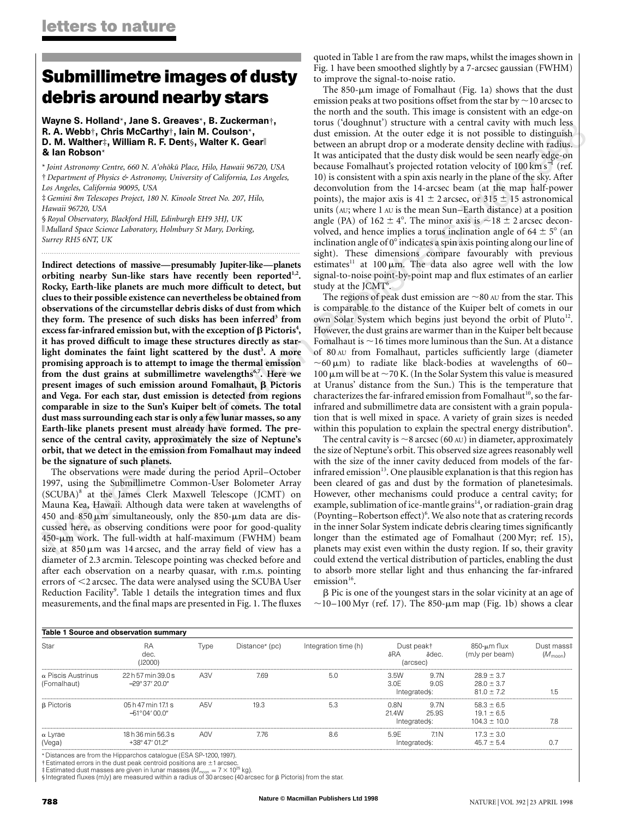# **Submillimetre images of dusty debris around nearby stars**

Wayne S. Holland\*, Jane S. Greaves\*, B. Zuckerman†, R. A. Webb†, Chris McCarthy†, Iain M. Coulson\*, D. M. Walther‡, William R. F. Dent§, Walter K. Gear<sup>∥</sup> & Ian Robson\*

\* *Joint Astronomy Centre, 660 N. A'oho¯ku¯ Place, Hilo, Hawaii 96720, USA* † *Department of Physics & Astronomy, University of California, Los Angeles, Los Angeles, California 90095, USA*

*.........................................................................................................................*

‡*Gemini 8m Telescopes Project, 180 N. Kinoole Street No. 207, Hilo, Hawaii 96720, USA*

§ *Royal Observatory, Blackford Hill, Edinburgh EH9 3HJ, UK* **Mullard Space Science Laboratory, Holmbury St Mary, Dorking,** *Surrey RH5 6NT, UK*

**Indirect detections of massive—presumably Jupiter-like—planets orbiting nearby Sun-like stars have recently been reported1,2. Rocky, Earth-like planets are much more difficult to detect, but clues to their possible existence can nevertheless be obtained from observations of the circumstellar debris disks of dust from which** they form. The presence of such disks has been inferred<sup>3</sup> from  $\epsilon$ xcess far-infrared emission but, with the exception of  $\beta$  Pictoris<sup>4</sup>, **it has proved difficult to image these structures directly as star**light dominates the faint light scattered by the dust<sup>5</sup>. A more **promising approach is to attempt to image the thermal emission** from the dust grains at submillimetre wavelengths<sup>6,7</sup>. Here we **present images of such emission around Fomalhaut,**  $\beta$  **Pictoris and Vega. For each star, dust emission is detected from regions comparable in size to the Sun's Kuiper belt of comets. The total dust mass surrounding each star is only a few lunar masses, so any Earth-like planets present must already have formed. The presence of the central cavity, approximately the size of Neptune's orbit, that we detect in the emission from Fomalhaut may indeed be the signature of such planets.**

The observations were made during the period April–October 1997, using the Submillimetre Common-User Bolometer Array (SCUBA)8 at the James Clerk Maxwell Telescope (JCMT) on Mauna Kea, Hawaii. Although data were taken at wavelengths of 450 and 850  $\mu$ m simultaneously, only the 850- $\mu$ m data are discussed here, as observing conditions were poor for good-quality  $450$ - $\mu$ m work. The full-width at half-maximum (FWHM) beam size at  $850 \mu m$  was 14 arcsec, and the array field of view has a diameter of 2.3 arcmin. Telescope pointing was checked before and after each observation on a nearby quasar, with r.m.s. pointing errors of <2 arcsec. The data were analysed using the SCUBA User Reduction Facility<sup>9</sup>. Table 1 details the integration times and flux measurements, and the final maps are presented in Fig. 1. The fluxes quoted in Table 1 are from the raw maps, whilst the images shown in Fig. 1 have been smoothed slightly by a 7-arcsec gaussian (FWHM) to improve the signal-to-noise ratio.

less<br>iish<br>ius. The 850- $\mu$ m image of Fomalhaut (Fig. 1a) shows that the dust emission peaks at two positions offset from the star by  $\sim$  10 arcsec to the north and the south. This image is consistent with an edge-on torus ('doughnut') structure with a central cavity with much less dust emission. At the outer edge it is not possible to distinguish between an abrupt drop or a moderate density decline with radius. It was anticipated that the dusty disk would be seen nearly edge-on because Fomalhaut's projected rotation velocity of 100 km s<sup>−1</sup> (ref. 10) is consistent with a spin axis nearly in the plane of the sky. After deconvolution from the 14-arcsec beam (at the map half-power points), the major axis is 41  $\pm$  2 arcsec, or 315  $\pm$  15 astronomical units (AU; where 1 AU is the mean Sun–Earth distance) at a position angle (PA) of  $162 \pm 4^{\circ}$ . The minor axis is  $\sim 18 \pm 2$  arcsec deconvolved, and hence implies a torus inclination angle of  $64 \pm 5^{\circ}$  (an inclination angle of  $0^\circ$  indicates a spin axis pointing along our line of sight). These dimensions compare favourably with previous estimates<sup>11</sup> at 100  $\mu$ m. The data also agree well with the low signal-to-noise point-by-point map and flux estimates of an earlier study at the JCMT $6$ .

The regions of peak dust emission are  $\sim$ 80 AU from the star. This is comparable to the distance of the Kuiper belt of comets in our own Solar System which begins just beyond the orbit of Pluto<sup>12</sup>. However, the dust grains are warmer than in the Kuiper belt because Fomalhaut is  $\sim$  16 times more luminous than the Sun. At a distance of 80 AU from Fomalhaut, particles sufficiently large (diameter  $\sim$  60  $\mu$ m) to radiate like black-bodies at wavelengths of 60– 100  $\mu$ m will be at ~70 K. (In the Solar System this value is measured at Uranus' distance from the Sun.) This is the temperature that characterizes the far-infrared emission from Fomalhaut<sup>10</sup>, so the farinfrared and submillimetre data are consistent with a grain population that is well mixed in space. A variety of grain sizes is needed within this population to explain the spectral energy distribution<sup>6</sup>.

The central cavity is  $\sim$  8 arcsec (60 AU) in diameter, approximately the size of Neptune's orbit. This observed size agrees reasonably well with the size of the inner cavity deduced from models of the farinfrared emission $13$ . One plausible explanation is that this region has been cleared of gas and dust by the formation of planetesimals. However, other mechanisms could produce a central cavity; for example, sublimation of ice-mantle grains<sup>14</sup>, or radiation-grain drag (Poynting-Robertson effect)<sup>6</sup>. We also note that as cratering records in the inner Solar System indicate debris clearing times significantly longer than the estimated age of Fomalhaut (200 Myr; ref. 15), planets may exist even within the dusty region. If so, their gravity could extend the vertical distribution of particles, enabling the dust to absorb more stellar light and thus enhancing the far-infrared emission<sup>16</sup>.

 $\beta$  Pic is one of the youngest stars in the solar vicinity at an age of  $\sim$ 10–100 Myr (ref. 17). The 850-µm map (Fig. 1b) shows a clear

| <b>Table 1 Source and observation summary</b> |                                              |                  |                |                      |                                                        |                                   |                                                      |                                |
|-----------------------------------------------|----------------------------------------------|------------------|----------------|----------------------|--------------------------------------------------------|-----------------------------------|------------------------------------------------------|--------------------------------|
| Star                                          | RA<br>dec.<br>(J2000)                        | Type             | Distance* (pc) | Integration time (h) | Dust peak+<br>$\delta$ RA<br>$\delta$ dec.<br>(arcsec) |                                   | 850-µm flux<br>(mJy per beam)                        | Dust mass‡<br>$(M_{\rm moon})$ |
| $\alpha$ Piscis Austrinus<br>(Fomalhaut)      | 22 h 57 min 39.0 s<br>$-29^{\circ}37'20.0''$ | A3V              | 7.69           | 5.0                  | 3.5W<br>3.0F                                           | 9.7N<br>9.0S<br>Integrated s:     | $28.9 \pm 3.7$<br>$28.0 \pm 3.7$<br>$81.0 \pm 7.2$   |                                |
| β Pictoris                                    | 05 h 47 min 171 s<br>$-51^{\circ}04'00.0''$  | A5V              | 19.3           | 5.3                  | 0.8N<br>21.4W                                          | 9.7N<br>25.9S<br>Integrated s:    | $58.3 \pm 6.5$<br>$19.1 \pm 6.5$<br>$104.3 \pm 10.0$ | 7.8                            |
| $\alpha$ Lyrae<br>(Veaa)                      | 18 h 36 min 56.3 s<br>$+38^{\circ}47'01.2''$ | A <sub>0</sub> V | 7.76           | 8.6                  | 5.9F                                                   | 7.1 <sub>N</sub><br>Integrated s: | $17.3 \pm 3.0$<br>$457 + 54$                         |                                |

\* Distances are from the Hipparchos catalogue (ESA SP-1200,1997).

 $\dagger$  Estimated errors in the dust peak centroid positions are  $\pm 1$  arcsec.

‡ Estimated dust masses are given in lunar masses (M<sub>moon</sub> = 7 × 10<sup>25</sup> kg).<br>§ Integrated fluxes (mJy) are measured within a radius of 30 arcsec (40 arcsec for β Pictoris) from the star.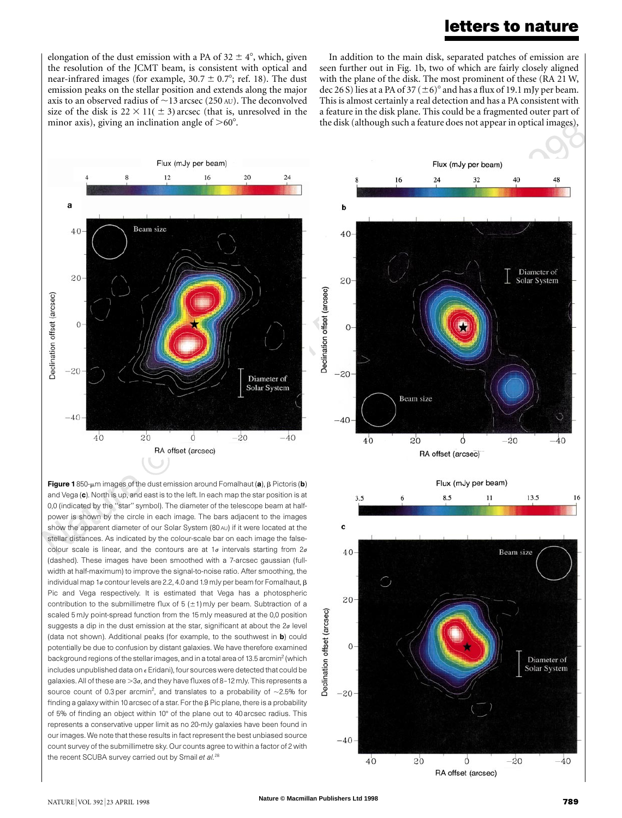### **letters to nature**

elongation of the dust emission with a PA of  $32 \pm 4^{\circ}$ , which, given the resolution of the JCMT beam, is consistent with optical and near-infrared images (for example,  $30.7 \pm 0.7^{\circ}$ ; ref. 18). The dust emission peaks on the stellar position and extends along the major axis to an observed radius of  $\sim$ 13 arcsec (250 AU). The deconvolved size of the disk is  $22 \times 11(\pm 3)$  arcsec (that is, unresolved in the minor axis), giving an inclination angle of  $>60^{\circ}$ .

the disk (although such a feature does not appear in optical images), In addition to the main disk, separated patches of emission are seen further out in Fig. 1b, two of which are fairly closely aligned with the plane of the disk. The most prominent of these (RA 21 W, dec 26 S) lies at a PA of 37 ( $\pm$ 6)<sup>°</sup> and has a flux of 19.1 mJy per beam. This is almost certainly a real detection and has a PA consistent with a feature in the disk plane. This could be a fragmented outer part of



Figure 1850- $\mu$ m images of the dust emission around Fomalhaut (a),  $\beta$  Pictoris (b) and Vega (c). North is up, and east is to the left. In each map the star position is at 0,0 (indicated by the ''star'' symbol). The diameter of the telescope beam at halfpower is shown by the circle in each image. The bars adjacent to the images show the apparent diameter of our Solar System (80 AU) if it were located at the stellar distances. As indicated by the colour-scale bar on each image the falsecolour scale is linear, and the contours are at  $1\sigma$  intervals starting from  $2\sigma$ (dashed). These images have been smoothed with a 7-arcsec gaussian (fullwidth at half-maximum) to improve the signal-to-noise ratio. After smoothing, the individual map 1 $\sigma$  contour levels are 2.2, 4.0 and 1.9 mJy per beam for Fomalhaut,  $\beta$ Pic and Vega respectively. It is estimated that Vega has a photospheric contribution to the submillimetre flux of  $5$  ( $\pm$ 1) mJy per beam. Subtraction of a scaled 5 mJy point-spread function from the 15 mJy measured at the 0,0 position suggests a dip in the dust emission at the star, significant at about the  $2\sigma$  level (data not shown). Additional peaks (for example, to the southwest in **b**) could potentially be due to confusion by distant galaxies. We have therefore examined background regions of the stellar images, and in a total area of 13.5 arcmin<sup>2</sup> (which includes unpublished data on  $\epsilon$  Eridani), four sources were detected that could be galaxies. All of these are  $>$ 3 $\sigma$ , and they have fluxes of 8-12 mJy. This represents a source count of 0.3 per arcmin<sup>2</sup>, and translates to a probability of  $\sim$ 2.5% for finding a galaxy within 10 arcsec of a star. For the  $\beta$  Pic plane, there is a probability of 5% of finding an object within 10° of the plane out to 40 arcsec radius. This represents a conservative upper limit as no 20-mJy galaxies have been found in our images. We note that these results in fact represent the best unbiased source count survey of the submillimetre sky. Our counts agree to within a factor of 2 with the recent SCUBA survey carried out by Smail *et al.*<sup>28</sup>

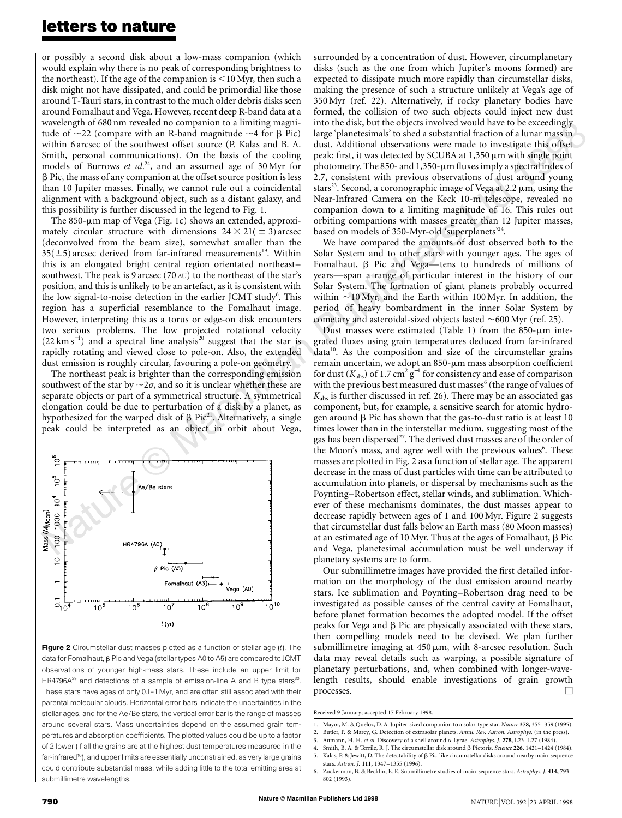### **letters to nature**

or possibly a second disk about a low-mass companion (which would explain why there is no peak of corresponding brightness to the northeast). If the age of the companion is  $\leq$ 10 Myr, then such a disk might not have dissipated, and could be primordial like those around T-Tauri stars, in contrast to the much older debris disks seen around Fomalhaut and Vega. However, recent deep R-band data at a wavelength of 680 nm revealed no companion to a limiting magnitude of  $\sim$ 22 (compare with an R-band magnitude  $\sim$ 4 for  $\beta$  Pic) within 6 arcsec of the southwest offset source (P. Kalas and B. A. Smith, personal communications). On the basis of the cooling models of Burrows *et al*. 24, and an assumed age of 30 Myr for  $\beta$  Pic, the mass of any companion at the offset source position is less than 10 Jupiter masses. Finally, we cannot rule out a coincidental alignment with a background object, such as a distant galaxy, and this possibility is further discussed in the legend to Fig. 1.

The 850- $\mu$ m map of Vega (Fig. 1c) shows an extended, approximately circular structure with dimensions  $24 \times 21 (\pm 3)$  arcsec (deconvolved from the beam size), somewhat smaller than the  $35(\pm 5)$  arcsec derived from far-infrared measurements<sup>19</sup>. Within this is an elongated bright central region orientated northeast– southwest. The peak is 9 arcsec (70 AU) to the northeast of the star's position, and this is unlikely to be an artefact, as it is consistent with the low signal-to-noise detection in the earlier JCMT study<sup>6</sup>. This region has a superficial resemblance to the Fomalhaut image. However, interpreting this as a torus or edge-on disk encounters two serious problems. The low projected rotational velocity  $(22 \text{ km s}^{-1})$  and a spectral line analysis<sup>20</sup> suggest that the star is rapidly rotating and viewed close to pole-on. Also, the extended dust emission is roughly circular, favouring a pole-on geometry.

The northeast peak is brighter than the corresponding emission southwest of the star by  $\sim$  2 $\sigma$ , and so it is unclear whether these are separate objects or part of a symmetrical structure. A symmetrical elongation could be due to perturbation of a disk by a planet, as hypothesized for the warped disk of  $\beta$  Pic<sup>21</sup>. Alternatively, a single peak could be interpreted as an object in orbit about Vega,



Figure 2 Circumstellar dust masses plotted as a function of stellar age (*t*). The data for Fomalhaut, β Pic and Vega (stellar types A0 to A5) are compared to JCMT observations of younger high-mass stars. These include an upper limit for HR4796A<sup>29</sup> and detections of a sample of emission-line A and B type stars<sup>30</sup>. These stars have ages of only 0.1–1 Myr, and are often still associated with their parental molecular clouds. Horizontal error bars indicate the uncertainties in the stellar ages, and for the Ae/Be stars, the vertical error bar is the range of masses around several stars. Mass uncertainties depend on the assumed grain temperatures and absorption coefficients. The plotted values could be up to a factor of 2 lower (if all the grains are at the highest dust temperatures measured in the far-infrared<sup>10</sup>), and upper limits are essentially unconstrained, as very large grains could contribute substantial mass, while adding little to the total emitting area at submillimetre wavelengths.

ngly<br>s in<br>fset surrounded by a concentration of dust. However, circumplanetary disks (such as the one from which Jupiter's moons formed) are expected to dissipate much more rapidly than circumstellar disks, making the presence of such a structure unlikely at Vega's age of 350 Myr (ref. 22). Alternatively, if rocky planetary bodies have formed, the collision of two such objects could inject new dust into the disk, but the objects involved would have to be exceedingly large 'planetesimals' to shed a substantial fraction of a lunar mass in dust. Additional observations were made to investigate this offset peak: first, it was detected by SCUBA at  $1,350 \mu m$  with single point photometry. The 850- and 1,350- $\mu$ m fluxes imply a spectral index of 2.7, consistent with previous observations of dust around young stars<sup>23</sup>. Second, a coronographic image of Vega at  $2.2 \mu m$ , using the Near-Infrared Camera on the Keck 10-m telescope, revealed no companion down to a limiting magnitude of 16. This rules out orbiting companions with masses greater than 12 Jupiter masses, based on models of 350-Myr-old 'superplanets'<sup>24</sup>.

We have compared the amounts of dust observed both to the Solar System and to other stars with younger ages. The ages of Fomalhaut,  $\beta$  Pic and Vega—tens to hundreds of millions of years—span a range of particular interest in the history of our Solar System. The formation of giant planets probably occurred within  $\sim$ 10 Myr, and the Earth within 100 Myr. In addition, the period of heavy bombardment in the inner Solar System by cometary and asteroidal-sized objects lasted  $\sim$  600 Myr (ref. 25).

Dust masses were estimated (Table 1) from the  $850$ - $\mu$ m integrated fluxes using grain temperatures deduced from far-infrared data<sup>10</sup>. As the composition and size of the circumstellar grains remain uncertain, we adopt an  $850$ - $\mu$ m mass absorption coefficient for dust ( $K_{\text{abs}}$ ) of 1.7 cm<sup>2</sup> g<sup>-1</sup> for consistency and ease of comparison with the previous best measured dust masses<sup>6</sup> (the range of values of *K*abs is further discussed in ref. 26). There may be an associated gas component, but, for example, a sensitive search for atomic hydrogen around  $\beta$  Pic has shown that the gas-to-dust ratio is at least 10 times lower than in the interstellar medium, suggesting most of the gas has been dispersed<sup>27</sup>. The derived dust masses are of the order of the Moon's mass, and agree well with the previous values<sup>6</sup>. These masses are plotted in Fig. 2 as a function of stellar age. The apparent decrease in the mass of dust particles with time can be attributed to accumulation into planets, or dispersal by mechanisms such as the Poynting–Robertson effect, stellar winds, and sublimation. Whichever of these mechanisms dominates, the dust masses appear to decrease rapidly between ages of 1 and 100 Myr. Figure 2 suggests that circumstellar dust falls below an Earth mass (80 Moon masses) at an estimated age of 10 Myr. Thus at the ages of Fomalhaut,  $\beta$  Pic and Vega, planetesimal accumulation must be well underway if planetary systems are to form.

Our submillimetre images have provided the first detailed information on the morphology of the dust emission around nearby stars. Ice sublimation and Poynting–Robertson drag need to be investigated as possible causes of the central cavity at Fomalhaut, before planet formation becomes the adopted model. If the offset peaks for Vega and  $\beta$  Pic are physically associated with these stars, then compelling models need to be devised. We plan further submillimetre imaging at  $450 \mu m$ , with 8-arcsec resolution. Such data may reveal details such as warping, a possible signature of planetary perturbations, and, when combined with longer-wavelength results, should enable investigations of grain growth processes.  $\Box$ 

Received 9 January; accepted 17 February 1998.

- 2. Butler, P. & Marcy, G. Detection of extrasolar planets. *Annu. Rev. Astron. Astrophys.* (in the press).
- 3. Aumann, H. H. *et al*. Discovery of a shell around a Lyrae. *Astrophys. J.* **278,** L23–L27 (1984).

<sup>1.</sup> Mayor, M. & Queloz, D. A. Jupiter-sized companion to a solar-type star. *Nature* **378,** 355–359 (1995).

<sup>4.</sup> Smith, B. A. & Terrile, R. J. The circumstellar disk around b Pictoris. *Science* **226,** 1421–1424 (1984). 5. Kalas, P. & Jewitt, D. The detectability of  $\beta$  Pic-like circumstellar disks around nearby main-sequence stars. *Astron. J.* **111,** 1347–1355 (1996).

<sup>6.</sup> Zuckerman, B. & Becklin, E. E. Submillimetre studies of main-sequence stars. *Astrophys. J.* **414,** 793– 802 (1993).